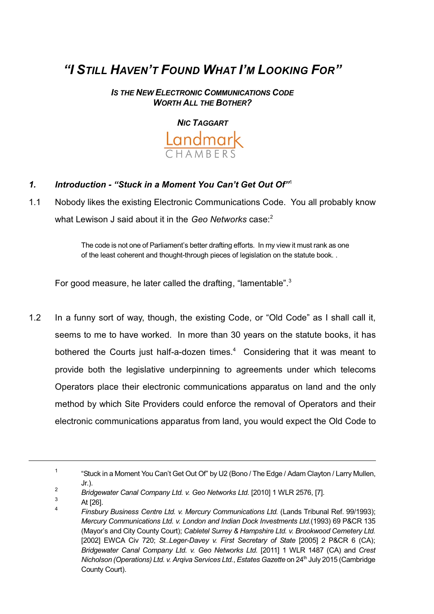# *"I STILL HAVEN'T FOUND WHAT I'M LOOKING FOR"*

*IS THE NEW ELECTRONIC COMMUNICATIONS CODE WORTH ALL THE BOTHER?*

*NIC TAGGART*



- *1. Introduction "Stuck in a Moment You Can't Get Out Of"*<sup>1</sup>
- 1.1 Nobody likes the existing Electronic Communications Code. You all probably know what Lewison J said about it in the *Geo Networks* case:<sup>2</sup>

The code is not one of Parliament's better drafting efforts. In my view it must rank as one of the least coherent and thought-through pieces of legislation on the statute book. .

For good measure, he later called the drafting, "lamentable".<sup>3</sup>

1.2 In a funny sort of way, though, the existing Code, or "Old Code" as I shall call it, seems to me to have worked. In more than 30 years on the statute books, it has bothered the Courts just half-a-dozen times.<sup>4</sup> Considering that it was meant to provide both the legislative underpinning to agreements under which telecoms Operators place their electronic communications apparatus on land and the only method by which Site Providers could enforce the removal of Operators and their electronic communications apparatus from land, you would expect the Old Code to

<sup>1</sup> "Stuck in a Moment You Can't Get Out Of" by U2 (Bono / The Edge / Adam Clayton / Larry Mullen, Jr.).

<sup>2</sup> *Bridgewater Canal Company Ltd. v. Geo Networks Ltd.* [2010] 1 WLR 2576, [7].

<sup>3</sup> At [26]. 4

*Finsbury Business Centre Ltd. v. Mercury Communications Ltd.* (Lands Tribunal Ref. 99/1993); *Mercury Communications Ltd. v. London and Indian Dock Investments Ltd.*(1993) 69 P&CR 135 (Mayor's and City County Court); *Cabletel Surrey & Hampshire Ltd. v. Brookwood Cemetery Ltd.* [2002] EWCA Civ 720; *St..Leger-Davey v. First Secretary of State* [2005] 2 P&CR 6 (CA); *Bridgewater Canal Company Ltd. v. Geo Networks Ltd.* [2011] 1 WLR 1487 (CA) and *Crest Nicholson (Operations) Ltd. v. Arqiva Services Ltd.*, *Estates Gazette* on 24 th July 2015 (Cambridge County Court).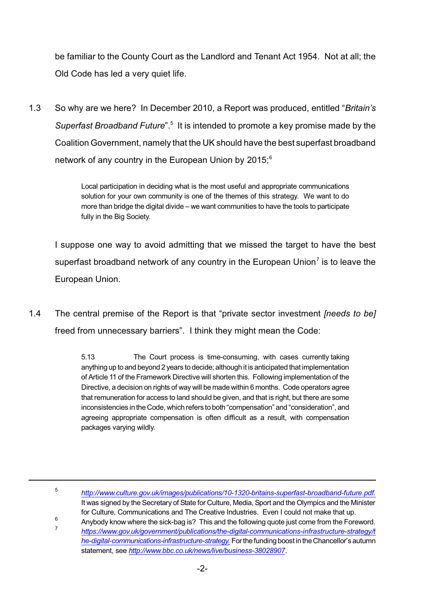be familiar to the County Court as the Landlord and Tenant Act 1954. Not at all; the Old Code has led a very quiet life.

1.3 So why are we here? In December 2010, a Report was produced, entitled "*Britain's* Superfast Broadband Future".<sup>5</sup> It is intended to promote a key promise made by the Coalition Government, namely that the UK should have the best superfast broadband network of any country in the European Union by  $2015$ ;<sup>6</sup>

> Local participation in deciding what is the most useful and appropriate communications solution for your own community is one of the themes of this strategy. We want to do more than bridge the digital divide – we want communities to have the tools to participate fully in the Big Society.

I suppose one way to avoid admitting that we missed the target to have the best superfast broadband network of any country in the European Union<sup>7</sup> is to leave the European Union.

1.4 The central premise of the Report is that "private sector investment *[needs to be]* freed from unnecessary barriers". I think they might mean the Code:

> 5.13 The Court process is time-consuming, with cases currently taking anything up to and beyond 2 years to decide; although it is anticipated that implementation of Article 11 of the Framework Directive will shorten this. Following implementation of the Directive, a decision on rights of way will be made within 6 months. Code operators agree that remuneration for access to land should be given, and that is right, but there are some inconsistencies inthe Code, which refers to both "compensation" and "consideration", and agreeing appropriate compensation is often difficult as a result, with compensation packages varying wildly.

5

6 Anybody know where the sick-bag is? This and the following quote just come from the Foreword.

7 *https://www.gov.uk/government/publications/the-digital-communications-infrastructure-strategy/t* he-digital-communications-infrastructure-strategy. For the funding boost in the Chancellor's autumn statement, see *<http://www.bbc.co.uk/news/live/business-38028907>*.

*http://www.culture.gov.uk/images/publications/10-1320-britains-superfast-broadband-future.pdf.* It was signed by the Secretary of State for Culture, Media, Sport and the Olympics and the Minister for Culture, Communications and The Creative Industries. Even I could not make that up.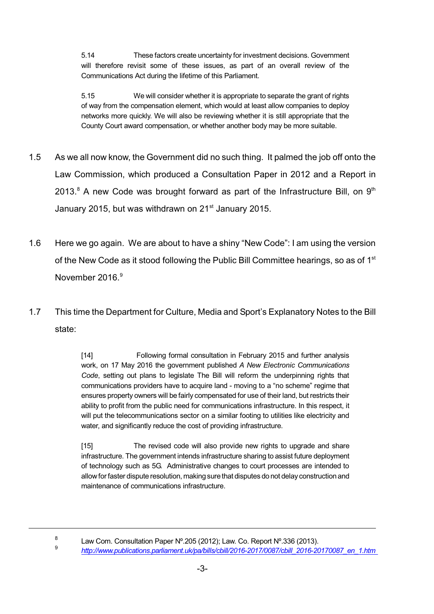5.14 These factors create uncertainty for investment decisions. Government will therefore revisit some of these issues, as part of an overall review of the Communications Act during the lifetime of this Parliament.

5.15 We will consider whether it is appropriate to separate the grant of rights of way from the compensation element, which would at least allow companies to deploy networks more quickly. We will also be reviewing whether it is still appropriate that the County Court award compensation, or whether another body may be more suitable.

- 1.5 As we all now know, the Government did no such thing. It palmed the job off onto the Law Commission, which produced a Consultation Paper in 2012 and a Report in 2013. $^8$  A new Code was brought forward as part of the Infrastructure Bill, on  $9<sup>th</sup>$ January 2015, but was withdrawn on 21<sup>st</sup> January 2015.
- 1.6 Here we go again. We are about to have a shiny "New Code": I am using the version of the New Code as it stood following the Public Bill Committee hearings, so as of 1<sup>st</sup> November 2016.<sup>9</sup>
- 1.7 This time the Department for Culture, Media and Sport's Explanatory Notes to the Bill state:

[14] Following formal consultation in February 2015 and further analysis work, on 17 May 2016 the government published *A New Electronic Communications Code*, setting out plans to legislate The Bill will reform the underpinning rights that communications providers have to acquire land - moving to a "no scheme" regime that ensures property owners will be fairly compensated for use of their land, but restricts their ability to profit from the public need for communications infrastructure. In this respect, it will put the telecommunications sector on a similar footing to utilities like electricity and water, and significantly reduce the cost of providing infrastructure.

[15] The revised code will also provide new rights to upgrade and share infrastructure. The government intends infrastructure sharing to assist future deployment of technology such as 5G. Administrative changes to court processes are intended to allow for faster dispute resolution, making sure that disputes do not delay construction and maintenance of communications infrastructure.

8

9

Law Com. Consultation Paper Nº.205 (2012); Law. Co. Report Nº.336 (2013).

*http://www.publications.parliament.uk/pa/bills/cbill/2016-2017/0087/cbill\_2016-20170087\_en\_1.htm*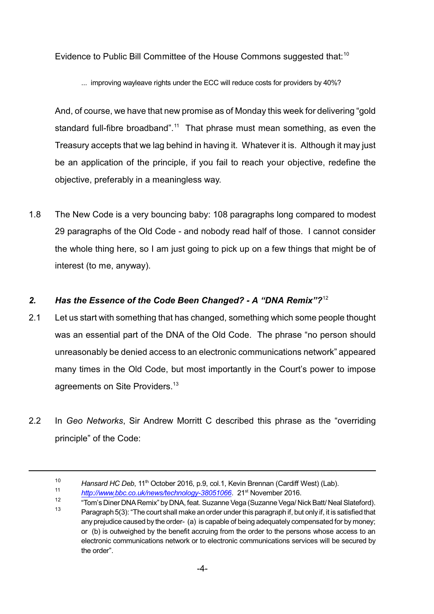Evidence to Public Bill Committee of the House Commons suggested that:<sup>10</sup>

... improving wayleave rights under the ECC will reduce costs for providers by 40%?

And, of course, we have that new promise as of Monday this week for delivering "gold standard full-fibre broadband".<sup>11</sup> That phrase must mean something, as even the Treasury accepts that we lag behind in having it. Whatever it is. Although it may just be an application of the principle, if you fail to reach your objective, redefine the objective, preferably in a meaningless way.

1.8 The New Code is a very bouncing baby: 108 paragraphs long compared to modest 29 paragraphs of the Old Code - and nobody read half of those. I cannot consider the whole thing here, so I am just going to pick up on a few things that might be of interest (to me, anyway).

# *2. Has the Essence of the Code Been Changed? - A "DNA Remix"?*<sup>12</sup>

- 2.1 Let us start with something that has changed, something which some people thought was an essential part of the DNA of the Old Code. The phrase "no person should unreasonably be denied access to an electronic communications network" appeared many times in the Old Code, but most importantly in the Court's power to impose agreements on Site Providers.<sup>13</sup>
- 2.2 In *Geo Networks*, Sir Andrew Morritt C described this phrase as the "overriding principle" of the Code:

<sup>&</sup>lt;sup>10</sup> Hansard HC Deb, 11<sup>th</sup> October 2016, p.9, col.1, Kevin Brennan (Cardiff West) (Lab).

<sup>11</sup> [http://www.bbc.co.uk/news/technology-38051066](http://www.bbc.co.uk/news/technology-38051066.). 21<sup>st</sup> November 2016.

<sup>12</sup> "Tom's Diner DNA Remix" by DNA, feat. Suzanne Vega (Suzanne Vega/ Nick Batt/ Neal Slateford). 13 Paragraph 5(3): "The court shall make an order under this paragraph if, but only if, it is satisfied that any prejudice caused by the order- (a) is capable of being adequately compensated for by money; or (b) is outweighed by the benefit accruing from the order to the persons whose access to an electronic communications network or to electronic communications services will be secured by the order".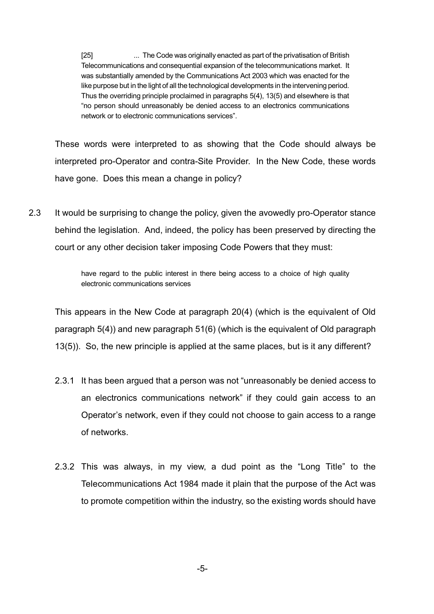[25] ... The Code was originally enacted as part of the privatisation of British Telecommunications and consequential expansion of the telecommunications market. It was substantially amended by the Communications Act 2003 which was enacted for the like purpose but in the light of all the technological developments in the intervening period. Thus the overriding principle proclaimed in paragraphs 5(4), 13(5) and elsewhere is that "no person should unreasonably be denied access to an electronics communications network or to electronic communications services".

These words were interpreted to as showing that the Code should always be interpreted pro-Operator and contra-Site Provider. In the New Code, these words have gone. Does this mean a change in policy?

2.3 It would be surprising to change the policy, given the avowedly pro-Operator stance behind the legislation. And, indeed, the policy has been preserved by directing the court or any other decision taker imposing Code Powers that they must:

> have regard to the public interest in there being access to a choice of high quality electronic communications services

This appears in the New Code at paragraph 20(4) (which is the equivalent of Old paragraph 5(4)) and new paragraph 51(6) (which is the equivalent of Old paragraph 13(5)). So, the new principle is applied at the same places, but is it any different?

- 2.3.1 It has been argued that a person was not "unreasonably be denied access to an electronics communications network" if they could gain access to an Operator's network, even if they could not choose to gain access to a range of networks.
- 2.3.2 This was always, in my view, a dud point as the "Long Title" to the Telecommunications Act 1984 made it plain that the purpose of the Act was to promote competition within the industry, so the existing words should have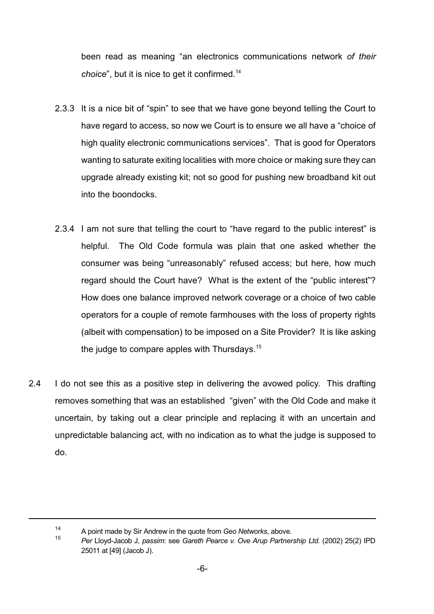been read as meaning "an electronics communications network *of their choice*", but it is nice to get it confirmed.<sup>14</sup>

- 2.3.3 It is a nice bit of "spin" to see that we have gone beyond telling the Court to have regard to access, so now we Court is to ensure we all have a "choice of high quality electronic communications services". That is good for Operators wanting to saturate exiting localities with more choice or making sure they can upgrade already existing kit; not so good for pushing new broadband kit out into the boondocks.
- 2.3.4 I am not sure that telling the court to "have regard to the public interest" is helpful. The Old Code formula was plain that one asked whether the consumer was being "unreasonably" refused access; but here, how much regard should the Court have? What is the extent of the "public interest"? How does one balance improved network coverage or a choice of two cable operators for a couple of remote farmhouses with the loss of property rights (albeit with compensation) to be imposed on a Site Provider? It is like asking the judge to compare apples with Thursdays.<sup>15</sup>
- 2.4 I do not see this as a positive step in delivering the avowed policy. This drafting removes something that was an established "given" with the Old Code and make it uncertain, by taking out a clear principle and replacing it with an uncertain and unpredictable balancing act, with no indication as to what the judge is supposed to do.

<sup>14</sup> A point made by Sir Andrew in the quote from *Geo Networks*, above.

<sup>15</sup> *Per* Lloyd-Jacob J, *passim*: see *Gareth Pearce v. Ove Arup Partnership Ltd.* (2002) 25(2) IPD 25011 at [49] (Jacob J).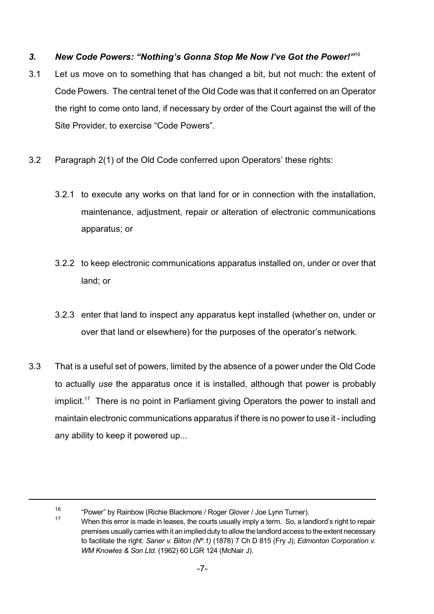## *3. New Code Powers: "Nothing's Gonna Stop Me Now I've Got the Power!"*<sup>16</sup>

- 3.1 Let us move on to something that has changed a bit, but not much: the extent of Code Powers. The central tenet of the Old Code was that it conferred on an Operator the right to come onto land, if necessary by order of the Court against the will of the Site Provider, to exercise "Code Powers".
- 3.2 Paragraph 2(1) of the Old Code conferred upon Operators' these rights:
	- 3.2.1 to execute any works on that land for or in connection with the installation, maintenance, adjustment, repair or alteration of electronic communications apparatus; or
	- 3.2.2 to keep electronic communications apparatus installed on, under or over that land; or
	- 3.2.3 enter that land to inspect any apparatus kept installed (whether on, under or over that land or elsewhere) for the purposes of the operator's network.
- 3.3 That is a useful set of powers, limited by the absence of a power under the Old Code to actually *use* the apparatus once it is installed, although that power is probably implicit.<sup>17</sup> There is no point in Parliament giving Operators the power to install and maintain electronic communications apparatus if there is no power to use it - including any ability to keep it powered up...

<sup>16</sup> "Power" by Rainbow (Richie Blackmore / Roger Glover / Joe Lynn Turner).

<sup>&</sup>lt;sup>17</sup> When this error is made in leases, the courts usually imply a term. So, a landlord's right to repair premises usually carries with it an implied duty to allow the landlord access to the extent necessary to facilitate the right: *Saner v. Bilton (Nº.1)* (1878) 7 Ch D 815 (Fry J); *Edmonton Corporation v. WM Knowles & Son Ltd.* (1962) 60 LGR 124 (McNair J).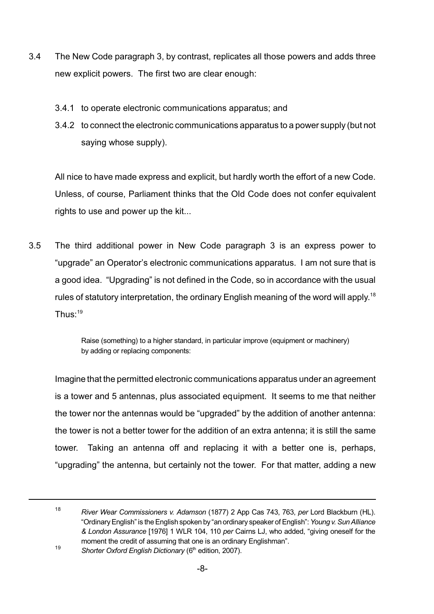- 3.4 The New Code paragraph 3, by contrast, replicates all those powers and adds three new explicit powers. The first two are clear enough:
	- 3.4.1 to operate electronic communications apparatus; and
	- 3.4.2 to connect the electronic communications apparatus to a power supply (but not saying whose supply).

All nice to have made express and explicit, but hardly worth the effort of a new Code. Unless, of course, Parliament thinks that the Old Code does not confer equivalent rights to use and power up the kit...

3.5 The third additional power in New Code paragraph 3 is an express power to "upgrade" an Operator's electronic communications apparatus. I am not sure that is a good idea. "Upgrading" is not defined in the Code, so in accordance with the usual rules of statutory interpretation, the ordinary English meaning of the word will apply.<sup>18</sup> Thus: $19$ 

> Raise (something) to a higher standard, in particular improve (equipment or machinery) by adding or replacing components:

Imagine that the permitted electronic communications apparatus under an agreement is a tower and 5 antennas, plus associated equipment. It seems to me that neither the tower nor the antennas would be "upgraded" by the addition of another antenna: the tower is not a better tower for the addition of an extra antenna; it is still the same tower. Taking an antenna off and replacing it with a better one is, perhaps, "upgrading" the antenna, but certainly not the tower. For that matter, adding a new

<sup>18</sup> *River Wear Commissioners v. Adamson* (1877) 2 App Cas 743, 763, *per* Lord Blackburn (HL). "OrdinaryEnglish" is theEnglish spoken by "an ordinary speaker of English":*Young v.SunAlliance & London Assurance* [1976] 1 WLR 104, 110 *per* Cairns LJ, who added, "giving oneself for the moment the credit of assuming that one is an ordinary Englishman". 19

*Shorter Oxford English Dictionary* (6 th edition, 2007).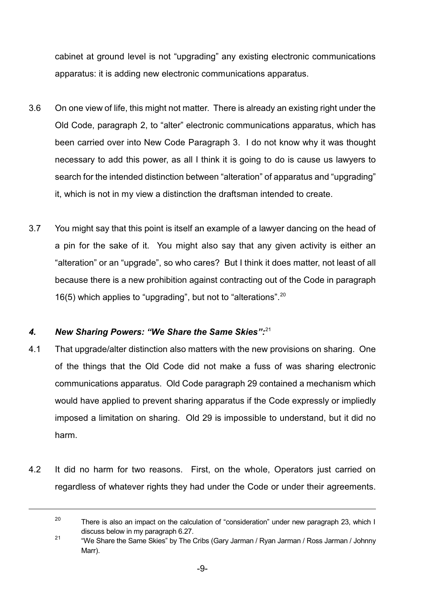cabinet at ground level is not "upgrading" any existing electronic communications apparatus: it is adding new electronic communications apparatus.

- 3.6 On one view of life, this might not matter. There is already an existing right under the Old Code, paragraph 2, to "alter" electronic communications apparatus, which has been carried over into New Code Paragraph 3. I do not know why it was thought necessary to add this power, as all I think it is going to do is cause us lawyers to search for the intended distinction between "alteration" of apparatus and "upgrading" it, which is not in my view a distinction the draftsman intended to create.
- 3.7 You might say that this point is itself an example of a lawyer dancing on the head of a pin for the sake of it. You might also say that any given activity is either an "alteration" or an "upgrade", so who cares? But I think it does matter, not least of all because there is a new prohibition against contracting out of the Code in paragraph 16(5) which applies to "upgrading", but not to "alterations".<sup>20</sup>

## *4. New Sharing Powers: "We Share the Same Skies":*<sup>21</sup>

- 4.1 That upgrade/alter distinction also matters with the new provisions on sharing. One of the things that the Old Code did not make a fuss of was sharing electronic communications apparatus. Old Code paragraph 29 contained a mechanism which would have applied to prevent sharing apparatus if the Code expressly or impliedly imposed a limitation on sharing. Old 29 is impossible to understand, but it did no harm.
- 4.2 It did no harm for two reasons. First, on the whole, Operators just carried on regardless of whatever rights they had under the Code or under their agreements.

 $20$ There is also an impact on the calculation of "consideration" under new paragraph 23, which I discuss below in my paragraph 6.27.

<sup>21</sup> "We Share the Same Skies" by The Cribs (Gary Jarman / Ryan Jarman / Ross Jarman / Johnny Marr).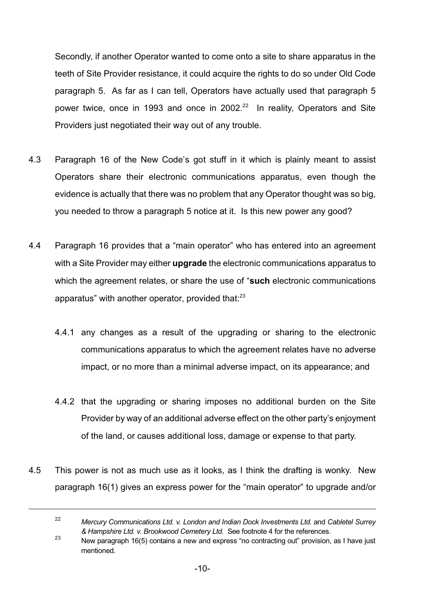Secondly, if another Operator wanted to come onto a site to share apparatus in the teeth of Site Provider resistance, it could acquire the rights to do so under Old Code paragraph 5. As far as I can tell, Operators have actually used that paragraph 5 power twice, once in 1993 and once in 2002. $^{22}$  In reality, Operators and Site Providers just negotiated their way out of any trouble.

- 4.3 Paragraph 16 of the New Code's got stuff in it which is plainly meant to assist Operators share their electronic communications apparatus, even though the evidence is actually that there was no problem that any Operator thought was so big, you needed to throw a paragraph 5 notice at it. Is this new power any good?
- 4.4 Paragraph 16 provides that a "main operator" who has entered into an agreement with a Site Provider may either **upgrade** the electronic communications apparatus to which the agreement relates, or share the use of "**such** electronic communications apparatus" with another operator, provided that: $23$ 
	- 4.4.1 any changes as a result of the upgrading or sharing to the electronic communications apparatus to which the agreement relates have no adverse impact, or no more than a minimal adverse impact, on its appearance; and
	- 4.4.2 that the upgrading or sharing imposes no additional burden on the Site Provider by way of an additional adverse effect on the other party's enjoyment of the land, or causes additional loss, damage or expense to that party.
- 4.5 This power is not as much use as it looks, as I think the drafting is wonky. New paragraph 16(1) gives an express power for the "main operator" to upgrade and/or

<sup>22</sup> *Mercury Communications Ltd. v. London and Indian Dock Investments Ltd.* and *Cabletel Surrey & Hampshire Ltd. v. Brookwood Cemetery Ltd.* See footnote 4 for the references.

<sup>&</sup>lt;sup>23</sup> New paragraph 16(5) contains a new and express "no contracting out" provision, as I have just mentioned.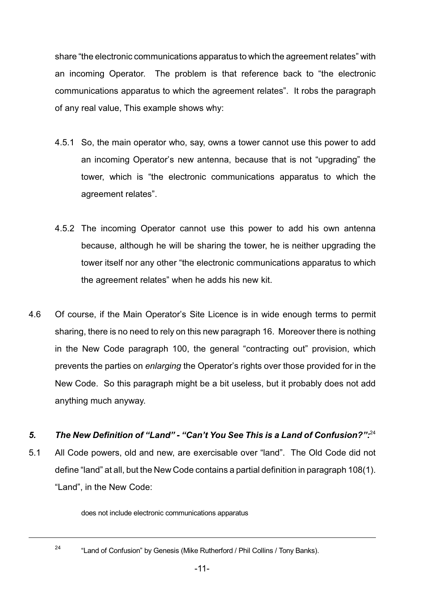share "the electronic communications apparatus to which the agreement relates" with an incoming Operator. The problem is that reference back to "the electronic communications apparatus to which the agreement relates". It robs the paragraph of any real value, This example shows why:

- 4.5.1 So, the main operator who, say, owns a tower cannot use this power to add an incoming Operator's new antenna, because that is not "upgrading" the tower, which is "the electronic communications apparatus to which the agreement relates".
- 4.5.2 The incoming Operator cannot use this power to add his own antenna because, although he will be sharing the tower, he is neither upgrading the tower itself nor any other "the electronic communications apparatus to which the agreement relates" when he adds his new kit.
- 4.6 Of course, if the Main Operator's Site Licence is in wide enough terms to permit sharing, there is no need to rely on this new paragraph 16. Moreover there is nothing in the New Code paragraph 100, the general "contracting out" provision, which prevents the parties on *enlarging* the Operator's rights over those provided for in the New Code. So this paragraph might be a bit useless, but it probably does not add anything much anyway.

#### *5. The New Definition of "Land" - "Can't You See This is a Land of Confusion?":*<sup>24</sup>

5.1 All Code powers, old and new, are exercisable over "land". The Old Code did not define "land" at all, but the New Code contains a partial definition in paragraph 108(1). "Land", in the New Code:

does not include electronic communications apparatus

24

<sup>&</sup>quot;Land of Confusion" by Genesis (Mike Rutherford / Phil Collins / Tony Banks).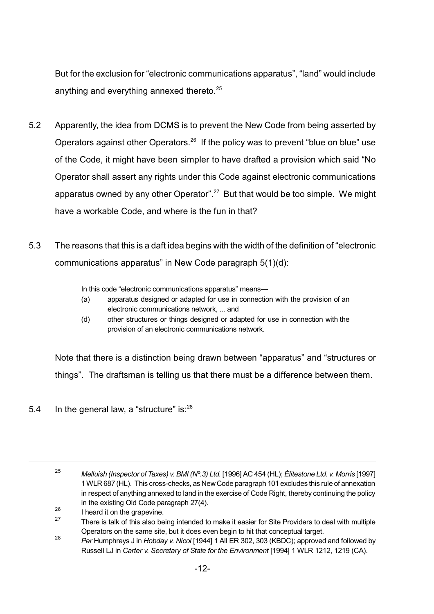But for the exclusion for "electronic communications apparatus", "land" would include anything and everything annexed thereto.<sup>25</sup>

- 5.2 Apparently, the idea from DCMS is to prevent the New Code from being asserted by Operators against other Operators.<sup>26</sup> If the policy was to prevent "blue on blue" use of the Code, it might have been simpler to have drafted a provision which said "No Operator shall assert any rights under this Code against electronic communications apparatus owned by any other Operator".<sup>27</sup> But that would be too simple. We might have a workable Code, and where is the fun in that?
- 5.3 The reasons that this is a daft idea begins with the width of the definition of "electronic communications apparatus" in New Code paragraph 5(1)(d):

In this code "electronic communications apparatus" means—

- (a) apparatus designed or adapted for use in connection with the provision of an electronic communications network, ... and
- (d) other structures or things designed or adapted for use in connection with the provision of an electronic communications network.

Note that there is a distinction being drawn between "apparatus" and "structures or things". The draftsman is telling us that there must be a difference between them.

5.4 In the general law, a "structure" is: $^{28}$ 

<sup>25</sup> *Melluish (Inspector of Taxes) v. BMI (Nº.3) Ltd.* [1996] AC 454 (HL); *Élitestone Ltd. v. Morris* [1997] 1WLR 687 (HL). This cross-checks, as NewCode paragraph 101 excludes this rule of annexation in respect of anything annexed to land in the exercise of Code Right, thereby continuing the policy in the existing Old Code paragraph 27(4).

<sup>26</sup> I heard it on the grapevine.

<sup>27</sup> There is talk of this also being intended to make it easier for Site Providers to deal with multiple Operators on the same site, but it does even begin to hit that conceptual target.

<sup>28</sup> *Per* Humphreys J in *Hobday v. Nicol* [1944] 1 All ER 302, 303 (KBDC); approved and followed by Russell LJ in *Carter v. Secretary of State for the Environment* [1994] 1 WLR 1212, 1219 (CA).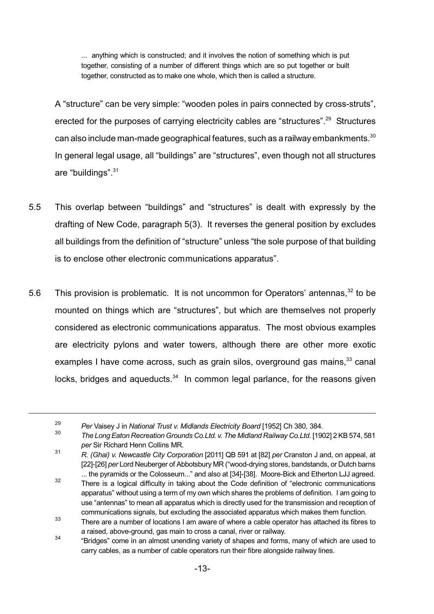... anything which is constructed; and it involves the notion of something which is put together, consisting of a number of different things which are so put together or built together, constructed as to make one whole, which then is called a structure.

A "structure" can be very simple: "wooden poles in pairs connected by cross-struts", erected for the purposes of carrying electricity cables are "structures".<sup>29</sup> Structures can also include man-made geographical features, such as a railway embankments.<sup>30</sup> In general legal usage, all "buildings" are "structures", even though not all structures are "buildings".<sup>31</sup>

- 5.5 This overlap between "buildings" and "structures" is dealt with expressly by the drafting of New Code, paragraph 5(3). It reverses the general position by excludes all buildings from the definition of "structure" unless "the sole purpose of that building is to enclose other electronic communications apparatus".
- 5.6 This provision is problematic. It is not uncommon for Operators' antennas,<sup>32</sup> to be mounted on things which are "structures", but which are themselves not properly considered as electronic communications apparatus. The most obvious examples are electricity pylons and water towers, although there are other more exotic examples I have come across, such as grain silos, overground gas mains,<sup>33</sup> canal locks, bridges and aqueducts.<sup>34</sup> In common legal parlance, for the reasons given

<sup>29</sup> *Per* Vaisey J in *National Trust v. Midlands Electricity Board* [1952] Ch 380, 384.

<sup>30</sup> *The Long Eaton Recreation Grounds Co.Ltd. v. The Midland Railway Co.Ltd.* [1902] 2 KB574, 581 *per* Sir Richard Henn Collins MR.

<sup>31</sup> *R. (Ghai) v. Newcastle City Corporation* [2011] QB 591 at [82] *per* Cranston J and, on appeal, at [22]-[26] *per* Lord Neuberger of Abbotsbury MR ("wood-drying stores, bandstands, or Dutch barns ... the pyramids or the Colosseum..." and also at [34]-[38]. Moore-Bick and Etherton LJJ agreed.

<sup>32</sup> There is a logical difficulty in taking about the Code definition of "electronic communications apparatus" without using a term of my own which shares the problems of definition. I am going to use "antennas" to mean all apparatus which is directly used for the transmission and reception of communications signals, but excluding the associated apparatus which makes them function.

<sup>33</sup> There are a number of locations I am aware of where a cable operator has attached its fibres to a raised, above-ground, gas main to cross a canal, river or railway.

<sup>34</sup> "Bridges" come in an almost unending variety of shapes and forms, many of which are used to carry cables, as a number of cable operators run their fibre alongside railway lines.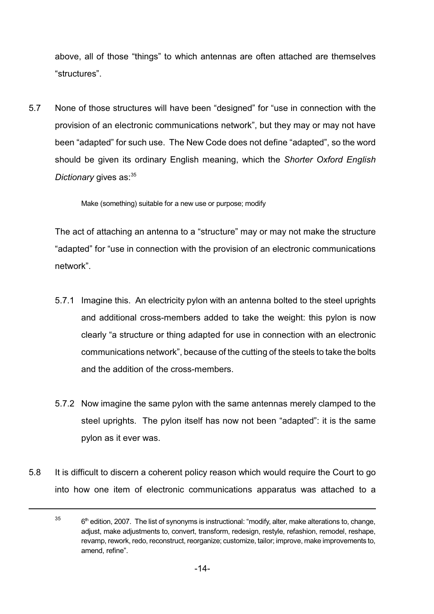above, all of those "things" to which antennas are often attached are themselves "structures".

5.7 None of those structures will have been "designed" for "use in connection with the provision of an electronic communications network", but they may or may not have been "adapted" for such use. The New Code does not define "adapted", so the word should be given its ordinary English meaning, which the *Shorter Oxford English Dictionary* gives as:<sup>35</sup>

Make (something) suitable for a new use or purpose; modify

The act of attaching an antenna to a "structure" may or may not make the structure "adapted" for "use in connection with the provision of an electronic communications network".

- 5.7.1 Imagine this. An electricity pylon with an antenna bolted to the steel uprights and additional cross-members added to take the weight: this pylon is now clearly "a structure or thing adapted for use in connection with an electronic communications network", because of the cutting of the steels to take the bolts and the addition of the cross-members.
- 5.7.2 Now imagine the same pylon with the same antennas merely clamped to the steel uprights. The pylon itself has now not been "adapted": it is the same pylon as it ever was.
- 5.8 It is difficult to discern a coherent policy reason which would require the Court to go into how one item of electronic communications apparatus was attached to a

<sup>35</sup> 6<sup>th</sup> edition, 2007. The list of synonyms is instructional: "modify, alter, make alterations to, change, adjust, make adjustments to, convert, transform, redesign, restyle, refashion, remodel, reshape, revamp, rework, redo, reconstruct, reorganize; customize, tailor; improve, make improvements to, amend, refine".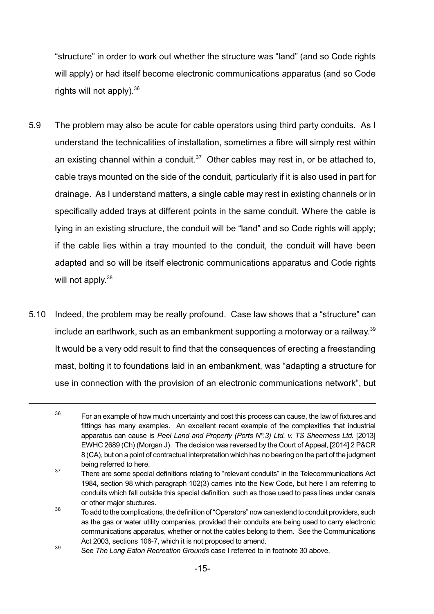"structure" in order to work out whether the structure was "land" (and so Code rights will apply) or had itself become electronic communications apparatus (and so Code rights will not apply).  $36$ 

- 5.9 The problem may also be acute for cable operators using third party conduits. As I understand the technicalities of installation, sometimes a fibre will simply rest within an existing channel within a conduit. $37$  Other cables may rest in, or be attached to, cable trays mounted on the side of the conduit, particularly if it is also used in part for drainage. As I understand matters, a single cable may rest in existing channels or in specifically added trays at different points in the same conduit. Where the cable is lying in an existing structure, the conduit will be "land" and so Code rights will apply; if the cable lies within a tray mounted to the conduit, the conduit will have been adapted and so will be itself electronic communications apparatus and Code rights will not apply.<sup>38</sup>
- 5.10 Indeed, the problem may be really profound. Case law shows that a "structure" can include an earthwork, such as an embankment supporting a motorway or a railway. $^{\rm 39}$ It would be a very odd result to find that the consequences of erecting a freestanding mast, bolting it to foundations laid in an embankment, was "adapting a structure for use in connection with the provision of an electronic communications network", but

<sup>36</sup> For an example of how much uncertainty and cost this process can cause, the law of fixtures and fittings has many examples. An excellent recent example of the complexities that industrial apparatus can cause is *Peel Land and Property (Ports Nº.3) Ltd. v. TS Sheerness Ltd.* [2013] EWHC 2689 (Ch) (Morgan J). The decision was reversed by the Court of Appeal, [2014] 2 P&CR 8 (CA), but on a point of contractual interpretation which has no bearing on the part of the judgment being referred to here.

<sup>37</sup> There are some special definitions relating to "relevant conduits" in the Telecommunications Act 1984, section 98 which paragraph 102(3) carries into the New Code, but here I am referring to conduits which fall outside this special definition, such as those used to pass lines under canals or other major stuctures.

<sup>38</sup> To add to thecomplications, the definition of "Operators" nowcanextend to conduit providers, such as the gas or water utility companies, provided their conduits are being used to carry electronic communications apparatus, whether or not the cables belong to them. See the Communications Act 2003, sections 106-7, which it is not proposed to amend.

<sup>39</sup> See *The Long Eaton Recreation Grounds* case I referred to in footnote 30 above.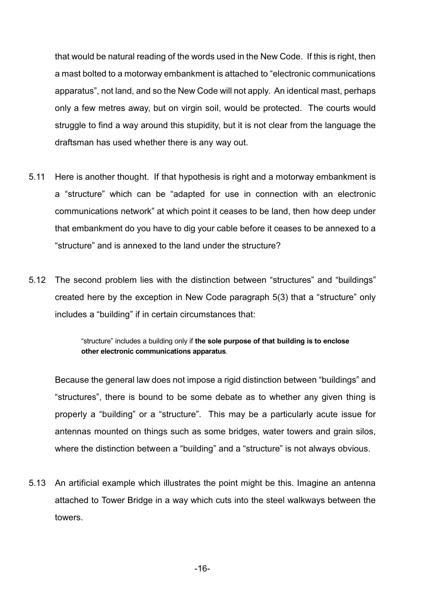that would be natural reading of the words used in the New Code. If this is right, then a mast bolted to a motorway embankment is attached to "electronic communications apparatus", not land, and so the New Code will not apply. An identical mast, perhaps only a few metres away, but on virgin soil, would be protected. The courts would struggle to find a way around this stupidity, but it is not clear from the language the draftsman has used whether there is any way out.

- 5.11 Here is another thought. If that hypothesis is right and a motorway embankment is a "structure" which can be "adapted for use in connection with an electronic communications network" at which point it ceases to be land, then how deep under that embankment do you have to dig your cable before it ceases to be annexed to a "structure" and is annexed to the land under the structure?
- 5.12 The second problem lies with the distinction between "structures" and "buildings" created here by the exception in New Code paragraph 5(3) that a "structure" only includes a "building" if in certain circumstances that:

"structure" includes a building only if **the sole purpose of that building is to enclose other electronic communications apparatus**.

Because the general law does not impose a rigid distinction between "buildings" and "structures", there is bound to be some debate as to whether any given thing is properly a "building" or a "structure". This may be a particularly acute issue for antennas mounted on things such as some bridges, water towers and grain silos, where the distinction between a "building" and a "structure" is not always obvious.

5.13 An artificial example which illustrates the point might be this. Imagine an antenna attached to Tower Bridge in a way which cuts into the steel walkways between the towers.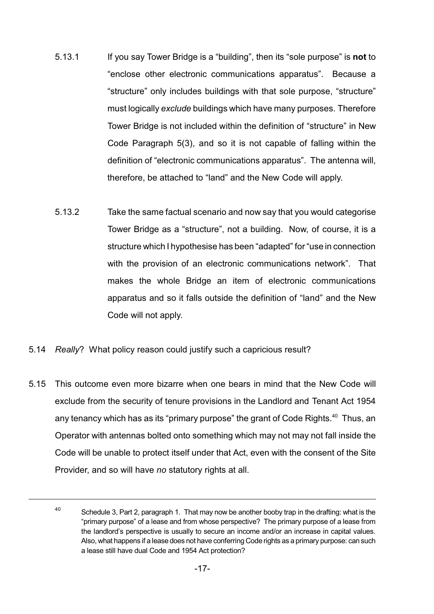- 5.13.1 If you say Tower Bridge is a "building", then its "sole purpose" is **not** to "enclose other electronic communications apparatus". Because a "structure" only includes buildings with that sole purpose, "structure" must logically *exclude* buildings which have many purposes. Therefore Tower Bridge is not included within the definition of "structure" in New Code Paragraph 5(3), and so it is not capable of falling within the definition of "electronic communications apparatus". The antenna will, therefore, be attached to "land" and the New Code will apply.
- 5.13.2 Take the same factual scenario and now say that you would categorise Tower Bridge as a "structure", not a building. Now, of course, it is a structure which I hypothesise has been "adapted" for "use in connection with the provision of an electronic communications network". That makes the whole Bridge an item of electronic communications apparatus and so it falls outside the definition of "land" and the New Code will not apply.
- 5.14 *Really*? What policy reason could justify such a capricious result?
- 5.15 This outcome even more bizarre when one bears in mind that the New Code will exclude from the security of tenure provisions in the Landlord and Tenant Act 1954 any tenancy which has as its "primary purpose" the grant of Code Rights. $40$  Thus, an Operator with antennas bolted onto something which may not may not fall inside the Code will be unable to protect itself under that Act, even with the consent of the Site Provider, and so will have *no* statutory rights at all.

<sup>40</sup> Schedule 3, Part 2, paragraph 1. That may now be another booby trap in the drafting: what is the "primary purpose" of a lease and from whose perspective? The primary purpose of a lease from the landlord's perspective is usually to secure an income and/or an increase in capital values. Also, what happens if a lease does not have conferring Code rights as a primary purpose: can such a lease still have dual Code and 1954 Act protection?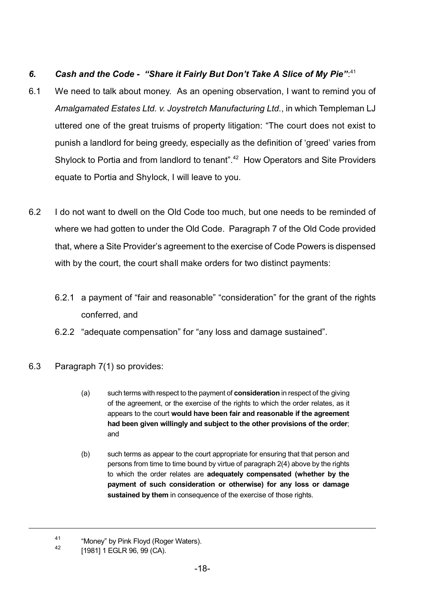# *6. Cash and the Code - "Share it Fairly But Don't Take A Slice of My Pie"*: 41

- 6.1 We need to talk about money. As an opening observation, I want to remind you of *Amalgamated Estates Ltd. v. Joystretch Manufacturing Ltd.*, in which Templeman LJ uttered one of the great truisms of property litigation: "The court does not exist to punish a landlord for being greedy, especially as the definition of 'greed' varies from Shylock to Portia and from landlord to tenant".<sup>42</sup> How Operators and Site Providers equate to Portia and Shylock, I will leave to you.
- 6.2 I do not want to dwell on the Old Code too much, but one needs to be reminded of where we had gotten to under the Old Code. Paragraph 7 of the Old Code provided that, where a Site Provider's agreement to the exercise of Code Powers is dispensed with by the court, the court shall make orders for two distinct payments:
	- 6.2.1 a payment of "fair and reasonable" "consideration" for the grant of the rights conferred, and
	- 6.2.2 "adequate compensation" for "any loss and damage sustained".
- 6.3 Paragraph 7(1) so provides:
	- (a) such terms with respect to the payment of **consideration** in respect of the giving of the agreement, or the exercise of the rights to which the order relates, as it appears to the court **would have been fair and reasonable if the agreement had been given willingly and subject to the other provisions of the order**; and
	- (b) such terms as appear to the court appropriate for ensuring that that person and persons from time to time bound by virtue of paragraph 2(4) above by the rights to which the order relates are **adequately compensated (whether by the payment of such consideration or otherwise) for any loss or damage sustained by them** in consequence of the exercise of those rights.

<sup>41</sup> "Money" by Pink Floyd (Roger Waters).

<sup>42</sup> [1981] 1 EGLR 96, 99 (CA).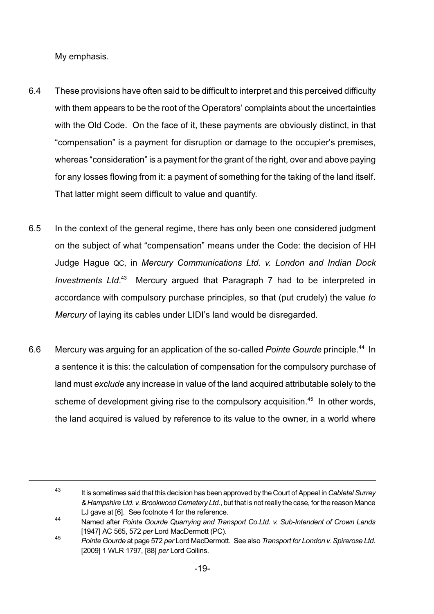My emphasis.

- 6.4 These provisions have often said to be difficult to interpret and this perceived difficulty with them appears to be the root of the Operators' complaints about the uncertainties with the Old Code. On the face of it, these payments are obviously distinct, in that "compensation" is a payment for disruption or damage to the occupier's premises, whereas "consideration" is a payment for the grant of the right, over and above paying for any losses flowing from it: a payment of something for the taking of the land itself. That latter might seem difficult to value and quantify.
- 6.5 In the context of the general regime, there has only been one considered judgment on the subject of what "compensation" means under the Code: the decision of HH Judge Hague QC, in *Mercury Communications Ltd. v. London and Indian Dock Investments Ltd*. <sup>43</sup> Mercury argued that Paragraph 7 had to be interpreted in accordance with compulsory purchase principles, so that (put crudely) the value *to Mercury* of laying its cables under LIDI's land would be disregarded.
- 6.6 Mercury was arguing for an application of the so-called Pointe Gourde principle.<sup>44</sup> In a sentence it is this: the calculation of compensation for the compulsory purchase of land must *exclude* any increase in value of the land acquired attributable solely to the scheme of development giving rise to the compulsory acquisition.<sup>45</sup> In other words, the land acquired is valued by reference to its value to the owner, in a world where

<sup>43</sup> It is sometimes said that this decision has been approved by the Court of Appeal in *Cabletel Surrey & Hampshire Ltd. v. Brookwood Cemetery Ltd.*, but that is notreally the case, for the reason Mance LJ gave at [6]. See footnote 4 for the reference.

<sup>44</sup> Named after *Pointe Gourde Quarrying and Transport Co.Ltd. v. Sub-Intendent of Crown Lands* [1947] AC 565, 572 *per* Lord MacDermott (PC).

<sup>45</sup> *Pointe Gourde* at page 572 *per* Lord MacDermott. See also *Transport for London v. Spirerose Ltd.* [2009] 1 WLR 1797, [88] *per* Lord Collins.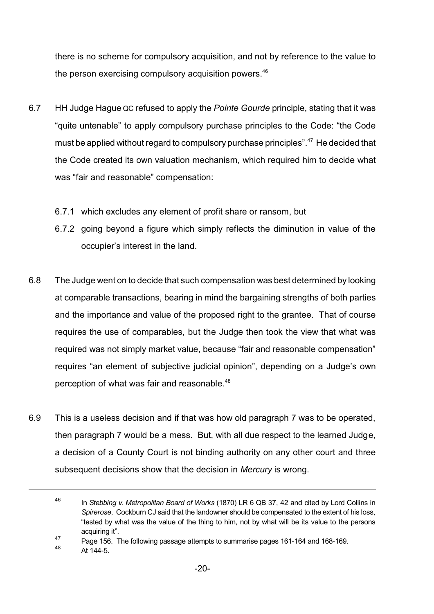there is no scheme for compulsory acquisition, and not by reference to the value to the person exercising compulsory acquisition powers. $46$ 

- 6.7 HH Judge Hague QC refused to apply the *Pointe Gourde* principle, stating that it was "quite untenable" to apply compulsory purchase principles to the Code: "the Code must be applied without regard to compulsory purchase principles".<sup>47</sup> He decided that the Code created its own valuation mechanism, which required him to decide what was "fair and reasonable" compensation:
	- 6.7.1 which excludes any element of profit share or ransom, but
	- 6.7.2 going beyond a figure which simply reflects the diminution in value of the occupier's interest in the land.
- 6.8 The Judge went on to decide that such compensation was best determined by looking at comparable transactions, bearing in mind the bargaining strengths of both parties and the importance and value of the proposed right to the grantee. That of course requires the use of comparables, but the Judge then took the view that what was required was not simply market value, because "fair and reasonable compensation" requires "an element of subjective judicial opinion", depending on a Judge's own perception of what was fair and reasonable.<sup>48</sup>
- 6.9 This is a useless decision and if that was how old paragraph 7 was to be operated, then paragraph 7 would be a mess. But, with all due respect to the learned Judge, a decision of a County Court is not binding authority on any other court and three subsequent decisions show that the decision in *Mercury* is wrong.

<sup>46</sup> In *Stebbing v. Metropolitan Board of Works* (1870) LR 6 QB 37, 42 and cited by Lord Collins in *Spirerose*, Cockburn CJ said that the landowner should be compensated to the extent of his loss, "tested by what was the value of the thing to him, not by what will be its value to the persons acquiring it".

<sup>47</sup> Page 156. The following passage attempts to summarise pages 161-164 and 168-169.

<sup>48</sup> At 144-5.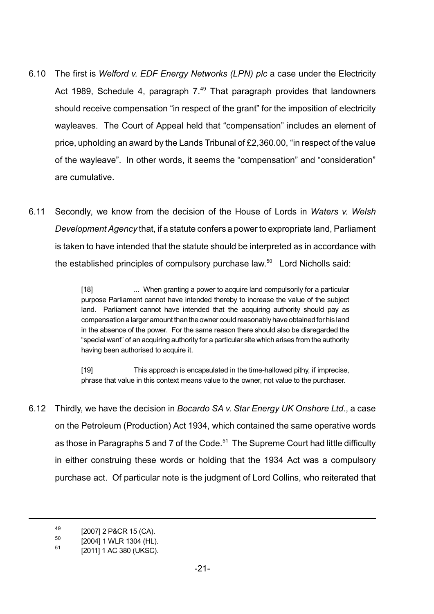- 6.10 The first is *Welford v. EDF Energy Networks (LPN) plc* a case under the Electricity Act 1989, Schedule 4, paragraph  $7.^{49}$  That paragraph provides that landowners should receive compensation "in respect of the grant" for the imposition of electricity wayleaves. The Court of Appeal held that "compensation" includes an element of price, upholding an award by the Lands Tribunal of £2,360.00, "in respect of the value of the wayleave". In other words, it seems the "compensation" and "consideration" are cumulative.
- 6.11 Secondly, we know from the decision of the House of Lords in *Waters v. Welsh Development Agency* that, if a statute confers a power to expropriate land, Parliament is taken to have intended that the statute should be interpreted as in accordance with the established principles of compulsory purchase law.<sup>50</sup> Lord Nicholls said:

[18] ... When granting a power to acquire land compulsorily for a particular purpose Parliament cannot have intended thereby to increase the value of the subject land. Parliament cannot have intended that the acquiring authority should pay as compensation alarger amount than the owner could reasonablyhave obtained for his land in the absence of the power. For the same reason there should also be disregarded the "special want" of an acquiring authority for a particular site which arises from the authority having been authorised to acquire it.

[19] This approach is encapsulated in the time-hallowed pithy, if imprecise, phrase that value in this context means value to the owner, not value to the purchaser.

6.12 Thirdly, we have the decision in *Bocardo SA v. Star Energy UK Onshore Ltd*., a case on the Petroleum (Production) Act 1934, which contained the same operative words as those in Paragraphs 5 and 7 of the Code.<sup>51</sup> The Supreme Court had little difficulty in either construing these words or holding that the 1934 Act was a compulsory purchase act. Of particular note is the judgment of Lord Collins, who reiterated that

<sup>49</sup> [2007] 2 P&CR 15 (CA).

<sup>50</sup> [2004] 1 WLR 1304 (HL).

<sup>51</sup> [2011] 1 AC 380 (UKSC).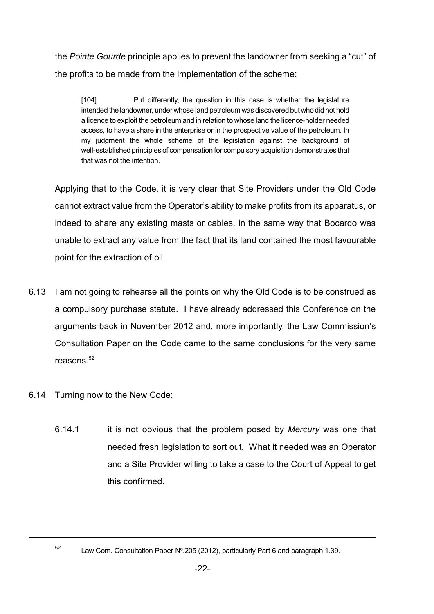the *Pointe Gourde* principle applies to prevent the landowner from seeking a "cut" of the profits to be made from the implementation of the scheme:

[104] Put differently, the question in this case is whether the legislature intended the landowner, under whose land petroleum was discovered but who didnot hold a licence to exploit the petroleum and in relation to whose land the licence-holder needed access, to have a share in the enterprise or in the prospective value of the petroleum. In my judgment the whole scheme of the legislation against the background of well-established principles of compensation for compulsory acquisition demonstrates that that was not the intention.

Applying that to the Code, it is very clear that Site Providers under the Old Code cannot extract value from the Operator's ability to make profits from its apparatus, or indeed to share any existing masts or cables, in the same way that Bocardo was unable to extract any value from the fact that its land contained the most favourable point for the extraction of oil.

- 6.13 I am not going to rehearse all the points on why the Old Code is to be construed as a compulsory purchase statute. I have already addressed this Conference on the arguments back in November 2012 and, more importantly, the Law Commission's Consultation Paper on the Code came to the same conclusions for the very same reasons. $52$
- 6.14 Turning now to the New Code:
	- 6.14.1 it is not obvious that the problem posed by *Mercury* was one that needed fresh legislation to sort out. What it needed was an Operator and a Site Provider willing to take a case to the Court of Appeal to get this confirmed.

52

Law Com. Consultation Paper Nº.205 (2012), particularly Part 6 and paragraph 1.39.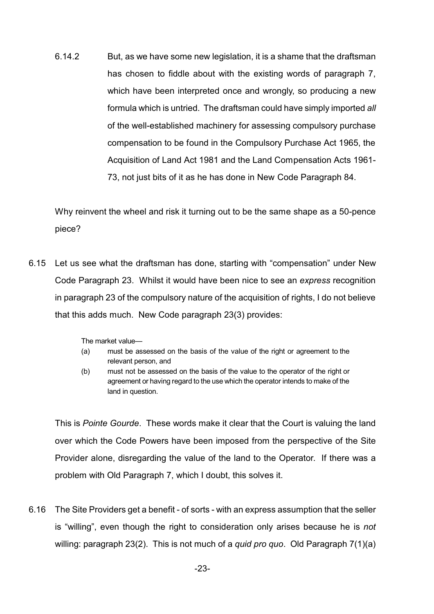6.14.2 But, as we have some new legislation, it is a shame that the draftsman has chosen to fiddle about with the existing words of paragraph 7, which have been interpreted once and wrongly, so producing a new formula which is untried. The draftsman could have simply imported *all* of the well-established machinery for assessing compulsory purchase compensation to be found in the Compulsory Purchase Act 1965, the Acquisition of Land Act 1981 and the Land Compensation Acts 1961- 73, not just bits of it as he has done in New Code Paragraph 84.

Why reinvent the wheel and risk it turning out to be the same shape as a 50-pence piece?

6.15 Let us see what the draftsman has done, starting with "compensation" under New Code Paragraph 23. Whilst it would have been nice to see an *express* recognition in paragraph 23 of the compulsory nature of the acquisition of rights, I do not believe that this adds much. New Code paragraph 23(3) provides:

The market value—

- (a) must be assessed on the basis of the value of the right or agreement to the relevant person, and
- (b) must not be assessed on the basis of the value to the operator of the right or agreement or having regard to the use which the operator intends to make of the land in question.

This is *Pointe Gourde*. These words make it clear that the Court is valuing the land over which the Code Powers have been imposed from the perspective of the Site Provider alone, disregarding the value of the land to the Operator. If there was a problem with Old Paragraph 7, which I doubt, this solves it.

6.16 The Site Providers get a benefit - of sorts - with an express assumption that the seller is "willing", even though the right to consideration only arises because he is *not* willing: paragraph 23(2). This is not much of a *quid pro quo*. Old Paragraph 7(1)(a)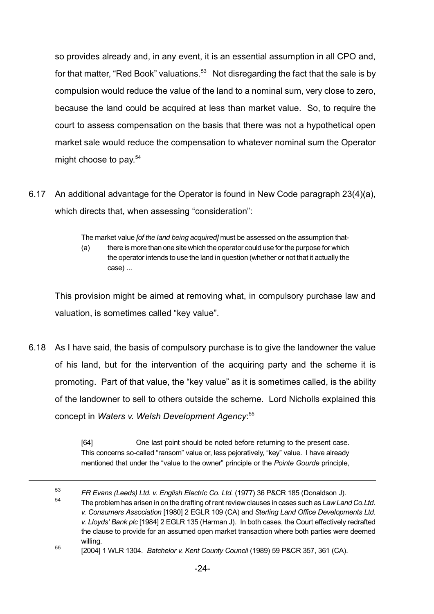so provides already and, in any event, it is an essential assumption in all CPO and, for that matter, "Red Book" valuations.<sup>53</sup> Not disregarding the fact that the sale is by compulsion would reduce the value of the land to a nominal sum, very close to zero, because the land could be acquired at less than market value. So, to require the court to assess compensation on the basis that there was not a hypothetical open market sale would reduce the compensation to whatever nominal sum the Operator might choose to pay. 54

6.17 An additional advantage for the Operator is found in New Code paragraph 23(4)(a), which directs that, when assessing "consideration":

The market value *[of the land being acquired]* must be assessed on the assumption that-

(a) there is more than one site which theoperator could use for the purpose for which the operator intends to use the land in question (whether or not that it actually the case) ...

This provision might be aimed at removing what, in compulsory purchase law and valuation, is sometimes called "key value".

6.18 As I have said, the basis of compulsory purchase is to give the landowner the value of his land, but for the intervention of the acquiring party and the scheme it is promoting. Part of that value, the "key value" as it is sometimes called, is the ability of the landowner to sell to others outside the scheme. Lord Nicholls explained this concept in *Waters v. Welsh Development Agency*: 55

> [64] One last point should be noted before returning to the present case. This concerns so-called "ransom" value or, less pejoratively, "key" value. I have already mentioned that under the "value to the owner" principle or the *Pointe Gourde* principle,

<sup>53</sup> *FR Evans (Leeds) Ltd. v. English Electric Co. Ltd.* (1977) 36 P&CR 185 (Donaldson J).

<sup>54</sup> The problem has arisen in on the drafting of rentreview clauses in cases such as *Law Land Co.Ltd. v. Consumers Association* [1980] 2 EGLR 109 (CA) and *Sterling Land Office Developments Ltd. v. Lloyds' Bank plc* [1984] 2 EGLR 135 (Harman J). In both cases, the Court effectively redrafted the clause to provide for an assumed open market transaction where both parties were deemed willing.

<sup>55</sup> [2004] 1 WLR 1304. *Batchelor v. Kent County Council* (1989) 59 P&CR 357, 361 (CA).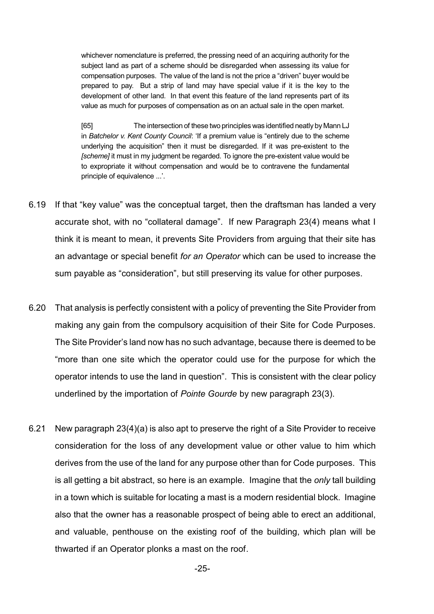whichever nomenclature is preferred, the pressing need of an acquiring authority for the subject land as part of a scheme should be disregarded when assessing its value for compensation purposes. The value of the land is not the price a "driven" buyer would be prepared to pay. But a strip of land may have special value if it is the key to the development of other land. In that event this feature of the land represents part of its value as much for purposes of compensation as on an actual sale in the open market.

[65] The intersection of these two principles was identified neatly by Mann LJ in *Batchelor v. Kent County Council*: 'If a premium value is "entirely due to the scheme underlying the acquisition" then it must be disregarded. If it was pre-existent to the *[scheme]* it must in my judgment be regarded. To ignore the pre-existent value would be to expropriate it without compensation and would be to contravene the fundamental principle of equivalence ...'.

- 6.19 If that "key value" was the conceptual target, then the draftsman has landed a very accurate shot, with no "collateral damage". If new Paragraph 23(4) means what I think it is meant to mean, it prevents Site Providers from arguing that their site has an advantage or special benefit *for an Operator* which can be used to increase the sum payable as "consideration", but still preserving its value for other purposes.
- 6.20 That analysis is perfectly consistent with a policy of preventing the Site Provider from making any gain from the compulsory acquisition of their Site for Code Purposes. The Site Provider's land now has no such advantage, because there is deemed to be "more than one site which the operator could use for the purpose for which the operator intends to use the land in question". This is consistent with the clear policy underlined by the importation of *Pointe Gourde* by new paragraph 23(3).
- 6.21 New paragraph 23(4)(a) is also apt to preserve the right of a Site Provider to receive consideration for the loss of any development value or other value to him which derives from the use of the land for any purpose other than for Code purposes. This is all getting a bit abstract, so here is an example. Imagine that the *only* tall building in a town which is suitable for locating a mast is a modern residential block. Imagine also that the owner has a reasonable prospect of being able to erect an additional, and valuable, penthouse on the existing roof of the building, which plan will be thwarted if an Operator plonks a mast on the roof.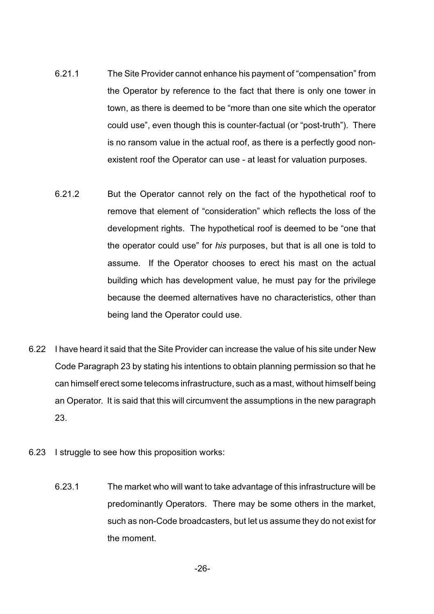- 6.21.1 The Site Provider cannot enhance his payment of "compensation" from the Operator by reference to the fact that there is only one tower in town, as there is deemed to be "more than one site which the operator could use", even though this is counter-factual (or "post-truth"). There is no ransom value in the actual roof, as there is a perfectly good nonexistent roof the Operator can use - at least for valuation purposes.
- 6.21.2 But the Operator cannot rely on the fact of the hypothetical roof to remove that element of "consideration" which reflects the loss of the development rights. The hypothetical roof is deemed to be "one that the operator could use" for *his* purposes, but that is all one is told to assume. If the Operator chooses to erect his mast on the actual building which has development value, he must pay for the privilege because the deemed alternatives have no characteristics, other than being land the Operator could use.
- 6.22 I have heard it said that the Site Provider can increase the value of his site under New Code Paragraph 23 by stating his intentions to obtain planning permission so that he can himself erect some telecoms infrastructure, such as a mast, without himself being an Operator. It is said that this will circumvent the assumptions in the new paragraph 23.
- 6.23 I struggle to see how this proposition works:
	- 6.23.1 The market who will want to take advantage of this infrastructure will be predominantly Operators. There may be some others in the market, such as non-Code broadcasters, but let us assume they do not exist for the moment.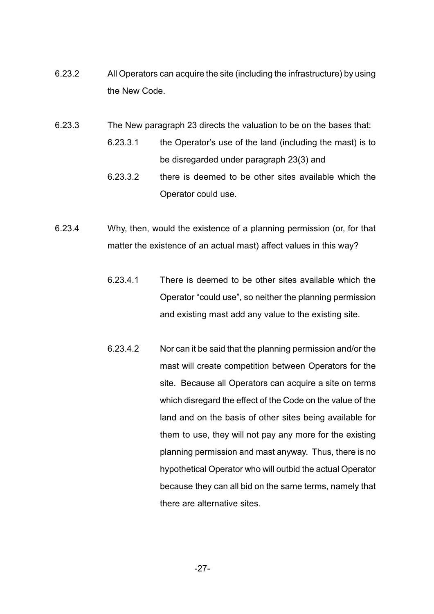- 6.23.2 All Operators can acquire the site (including the infrastructure) by using the New Code.
- 6.23.3 The New paragraph 23 directs the valuation to be on the bases that:
	- 6.23.3.1 the Operator's use of the land (including the mast) is to be disregarded under paragraph 23(3) and
	- 6.23.3.2 there is deemed to be other sites available which the Operator could use.
- 6.23.4 Why, then, would the existence of a planning permission (or, for that matter the existence of an actual mast) affect values in this way?
	- 6.23.4.1 There is deemed to be other sites available which the Operator "could use", so neither the planning permission and existing mast add any value to the existing site.
	- 6.23.4.2 Nor can it be said that the planning permission and/or the mast will create competition between Operators for the site. Because all Operators can acquire a site on terms which disregard the effect of the Code on the value of the land and on the basis of other sites being available for them to use, they will not pay any more for the existing planning permission and mast anyway. Thus, there is no hypothetical Operator who will outbid the actual Operator because they can all bid on the same terms, namely that there are alternative sites.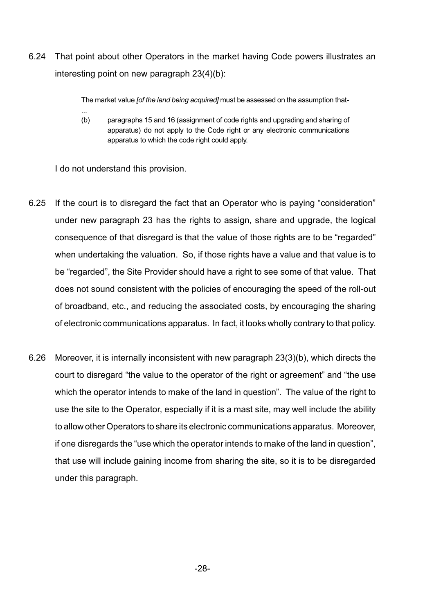6.24 That point about other Operators in the market having Code powers illustrates an interesting point on new paragraph 23(4)(b):

The market value *[of the land being acquired]* must be assessed on the assumption that-

... (b) paragraphs 15 and 16 (assignment of code rights and upgrading and sharing of apparatus) do not apply to the Code right or any electronic communications apparatus to which the code right could apply.

I do not understand this provision.

- 6.25 If the court is to disregard the fact that an Operator who is paying "consideration" under new paragraph 23 has the rights to assign, share and upgrade, the logical consequence of that disregard is that the value of those rights are to be "regarded" when undertaking the valuation. So, if those rights have a value and that value is to be "regarded", the Site Provider should have a right to see some of that value. That does not sound consistent with the policies of encouraging the speed of the roll-out of broadband, etc., and reducing the associated costs, by encouraging the sharing of electronic communications apparatus. In fact, it looks wholly contrary to that policy.
- 6.26 Moreover, it is internally inconsistent with new paragraph 23(3)(b), which directs the court to disregard "the value to the operator of the right or agreement" and "the use which the operator intends to make of the land in question". The value of the right to use the site to the Operator, especially if it is a mast site, may well include the ability to allow other Operators to share its electronic communications apparatus. Moreover, if one disregards the "use which the operator intends to make of the land in question", that use will include gaining income from sharing the site, so it is to be disregarded under this paragraph.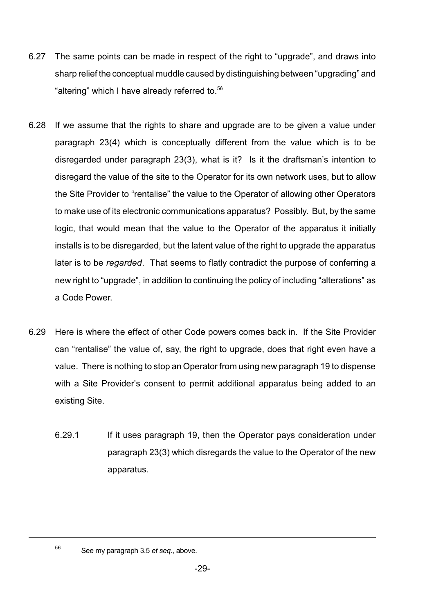- 6.27 The same points can be made in respect of the right to "upgrade", and draws into sharp relief the conceptual muddle caused by distinguishing between "upgrading" and "altering" which I have already referred to.<sup>56</sup>
- 6.28 If we assume that the rights to share and upgrade are to be given a value under paragraph 23(4) which is conceptually different from the value which is to be disregarded under paragraph 23(3), what is it? Is it the draftsman's intention to disregard the value of the site to the Operator for its own network uses, but to allow the Site Provider to "rentalise" the value to the Operator of allowing other Operators to make use of its electronic communications apparatus? Possibly. But, by the same logic, that would mean that the value to the Operator of the apparatus it initially installs is to be disregarded, but the latent value of the right to upgrade the apparatus later is to be *regarded*. That seems to flatly contradict the purpose of conferring a new right to "upgrade", in addition to continuing the policy of including "alterations" as a Code Power.
- 6.29 Here is where the effect of other Code powers comes back in. If the Site Provider can "rentalise" the value of, say, the right to upgrade, does that right even have a value. There is nothing to stop an Operator from using new paragraph 19 to dispense with a Site Provider's consent to permit additional apparatus being added to an existing Site.
	- 6.29.1 If it uses paragraph 19, then the Operator pays consideration under paragraph 23(3) which disregards the value to the Operator of the new apparatus.

56

See my paragraph 3.5 *et seq.*, above.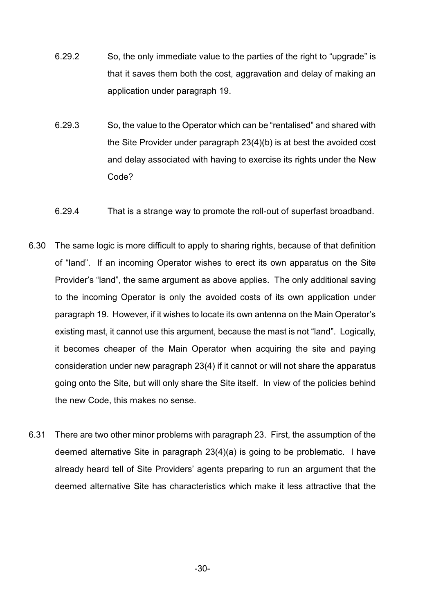- 6.29.2 So, the only immediate value to the parties of the right to "upgrade" is that it saves them both the cost, aggravation and delay of making an application under paragraph 19.
- 6.29.3 So, the value to the Operator which can be "rentalised" and shared with the Site Provider under paragraph 23(4)(b) is at best the avoided cost and delay associated with having to exercise its rights under the New Code?
- 6.29.4 That is a strange way to promote the roll-out of superfast broadband.
- 6.30 The same logic is more difficult to apply to sharing rights, because of that definition of "land". If an incoming Operator wishes to erect its own apparatus on the Site Provider's "land", the same argument as above applies. The only additional saving to the incoming Operator is only the avoided costs of its own application under paragraph 19. However, if it wishes to locate its own antenna on the Main Operator's existing mast, it cannot use this argument, because the mast is not "land". Logically, it becomes cheaper of the Main Operator when acquiring the site and paying consideration under new paragraph 23(4) if it cannot or will not share the apparatus going onto the Site, but will only share the Site itself. In view of the policies behind the new Code, this makes no sense.
- 6.31 There are two other minor problems with paragraph 23. First, the assumption of the deemed alternative Site in paragraph 23(4)(a) is going to be problematic. I have already heard tell of Site Providers' agents preparing to run an argument that the deemed alternative Site has characteristics which make it less attractive that the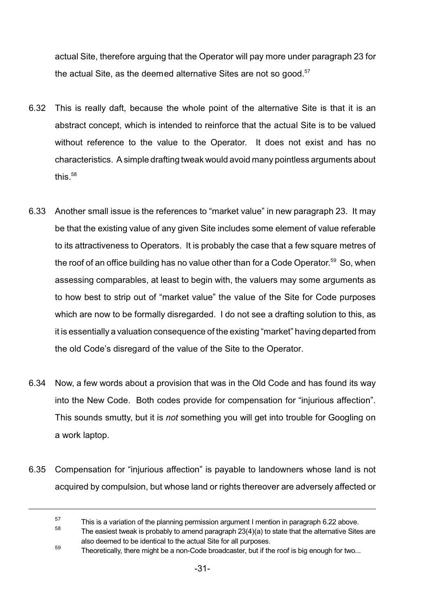actual Site, therefore arguing that the Operator will pay more under paragraph 23 for the actual Site, as the deemed alternative Sites are not so good. $57$ 

- 6.32 This is really daft, because the whole point of the alternative Site is that it is an abstract concept, which is intended to reinforce that the actual Site is to be valued without reference to the value to the Operator. It does not exist and has no characteristics. A simple drafting tweak would avoid many pointless arguments about this. $58$
- 6.33 Another small issue is the references to "market value" in new paragraph 23. It may be that the existing value of any given Site includes some element of value referable to its attractiveness to Operators. It is probably the case that a few square metres of the roof of an office building has no value other than for a Code Operator.<sup>59</sup> So, when assessing comparables, at least to begin with, the valuers may some arguments as to how best to strip out of "market value" the value of the Site for Code purposes which are now to be formally disregarded. I do not see a drafting solution to this, as it is essentially a valuation consequence of the existing "market" having departed from the old Code's disregard of the value of the Site to the Operator.
- 6.34 Now, a few words about a provision that was in the Old Code and has found its way into the New Code. Both codes provide for compensation for "injurious affection". This sounds smutty, but it is *not* something you will get into trouble for Googling on a work laptop.
- 6.35 Compensation for "injurious affection" is payable to landowners whose land is not acquired by compulsion, but whose land or rights thereover are adversely affected or

<sup>57</sup> This is a variation of the planning permission argument I mention in paragraph 6.22 above.

<sup>58</sup> The easiest tweak is probably to amend paragraph 23(4)(a) to state that the alternative Sites are also deemed to be identical to the actual Site for all purposes.

<sup>59</sup> Theoretically, there might be a non-Code broadcaster, but if the roof is big enough for two...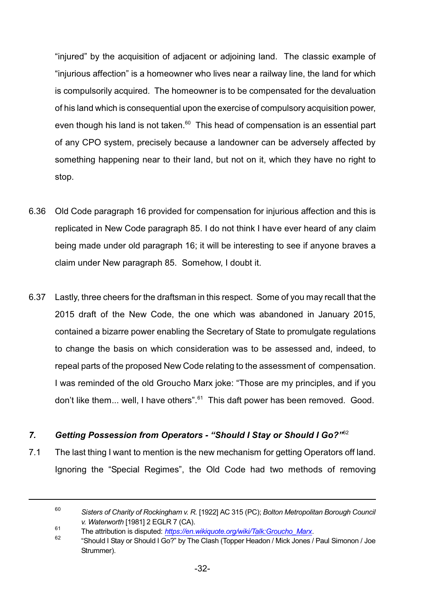"injured" by the acquisition of adjacent or adjoining land. The classic example of "injurious affection" is a homeowner who lives near a railway line, the land for which is compulsorily acquired. The homeowner is to be compensated for the devaluation of his land which is consequential upon the exercise of compulsory acquisition power, even though his land is not taken. $60$  This head of compensation is an essential part of any CPO system, precisely because a landowner can be adversely affected by something happening near to their land, but not on it, which they have no right to stop.

- 6.36 Old Code paragraph 16 provided for compensation for injurious affection and this is replicated in New Code paragraph 85. I do not think I have ever heard of any claim being made under old paragraph 16; it will be interesting to see if anyone braves a claim under New paragraph 85. Somehow, I doubt it.
- 6.37 Lastly, three cheers for the draftsman in this respect. Some of you may recall that the 2015 draft of the New Code, the one which was abandoned in January 2015, contained a bizarre power enabling the Secretary of State to promulgate regulations to change the basis on which consideration was to be assessed and, indeed, to repeal parts of the proposed New Code relating to the assessment of compensation. I was reminded of the old Groucho Marx joke: "Those are my principles, and if you don't like them... well, I have others".<sup>61</sup> This daft power has been removed. Good.

#### *7. Getting Possession from Operators - "Should I Stay or Should I Go?"*<sup>62</sup>

7.1 The last thing I want to mention is the new mechanism for getting Operators off land. Ignoring the "Special Regimes", the Old Code had two methods of removing

<sup>60</sup> *Sisters of Charity of Rockingham v. R.* [1922] AC 315 (PC); *Bolton Metropolitan Borough Council v. Waterworth* [1981] 2 EGLR 7 (CA).

<sup>61</sup> The attribution is disputed: *[https://en.wikiquote.org/wiki/Talk:Groucho\\_Marx](https://en.wikiquote.org/wiki/Talk:Groucho_Marx)*.

<sup>62</sup> "Should I Stay or Should I Go?" by The Clash (Topper Headon / Mick Jones / Paul Simonon / Joe Strummer).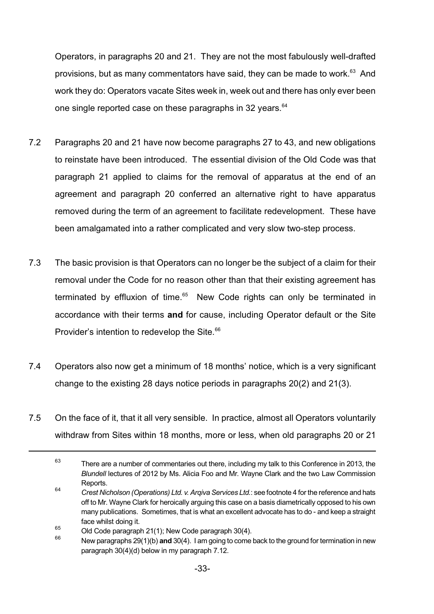Operators, in paragraphs 20 and 21. They are not the most fabulously well-drafted provisions, but as many commentators have said, they can be made to work.<sup>63</sup> And work they do: Operators vacate Sites week in, week out and there has only ever been one single reported case on these paragraphs in 32 years.<sup>64</sup>

- 7.2 Paragraphs 20 and 21 have now become paragraphs 27 to 43, and new obligations to reinstate have been introduced. The essential division of the Old Code was that paragraph 21 applied to claims for the removal of apparatus at the end of an agreement and paragraph 20 conferred an alternative right to have apparatus removed during the term of an agreement to facilitate redevelopment. These have been amalgamated into a rather complicated and very slow two-step process.
- 7.3 The basic provision is that Operators can no longer be the subject of a claim for their removal under the Code for no reason other than that their existing agreement has terminated by effluxion of time. $65$  New Code rights can only be terminated in accordance with their terms **and** for cause, including Operator default or the Site Provider's intention to redevelop the Site.<sup>66</sup>
- 7.4 Operators also now get a minimum of 18 months' notice, which is a very significant change to the existing 28 days notice periods in paragraphs 20(2) and 21(3).
- 7.5 On the face of it, that it all very sensible. In practice, almost all Operators voluntarily withdraw from Sites within 18 months, more or less, when old paragraphs 20 or 21

<sup>63</sup> There are a number of commentaries out there, including my talk to this Conference in 2013, the *Blundell* lectures of 2012 by Ms. Alicia Foo and Mr. Wayne Clark and the two Law Commission Reports.

<sup>64</sup> *Crest Nicholson (Operations) Ltd. v. ArqivaServices Ltd.*: see footnote 4 for the reference and hats off to Mr. Wayne Clark for heroically arguing this case on a basis diametrically opposed to his own many publications. Sometimes, that is what an excellent advocate has to do - and keep a straight face whilst doing it.

<sup>&</sup>lt;sup>65</sup> Old Code paragraph 21(1); New Code paragraph 30(4).<br><sup>66</sup> New paragraphs 20(1)(b) and 20(4). Lam geing to come

<sup>66</sup> New paragraphs 29(1)(b) **and** 30(4). I am going to come back to the ground for termination in new paragraph 30(4)(d) below in my paragraph 7.12.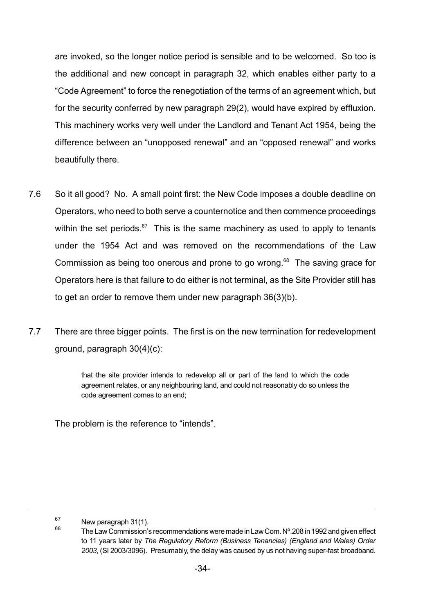are invoked, so the longer notice period is sensible and to be welcomed. So too is the additional and new concept in paragraph 32, which enables either party to a "Code Agreement" to force the renegotiation of the terms of an agreement which, but for the security conferred by new paragraph 29(2), would have expired by effluxion. This machinery works very well under the Landlord and Tenant Act 1954, being the difference between an "unopposed renewal" and an "opposed renewal" and works beautifully there.

- 7.6 So it all good? No. A small point first: the New Code imposes a double deadline on Operators, who need to both serve a counternotice and then commence proceedings within the set periods.<sup>67</sup> This is the same machinery as used to apply to tenants under the 1954 Act and was removed on the recommendations of the Law Commission as being too onerous and prone to go wrong. <sup>68</sup> The saving grace for Operators here is that failure to do either is not terminal, as the Site Provider still has to get an order to remove them under new paragraph 36(3)(b).
- 7.7 There are three bigger points. The first is on the new termination for redevelopment ground, paragraph 30(4)(c):

that the site provider intends to redevelop all or part of the land to which the code agreement relates, or any neighbouring land, and could not reasonably do so unless the code agreement comes to an end;

The problem is the reference to "intends".

 $67$  New paragraph 31(1).

<sup>68</sup> The Law Commission's recommendations were made in Law Com. Nº.208 in 1992 and given effect to 11 years later by *The Regulatory Reform (Business Tenancies) (England and Wales) Order 2003*, (SI 2003/3096). Presumably, the delay was caused by us not having super-fast broadband.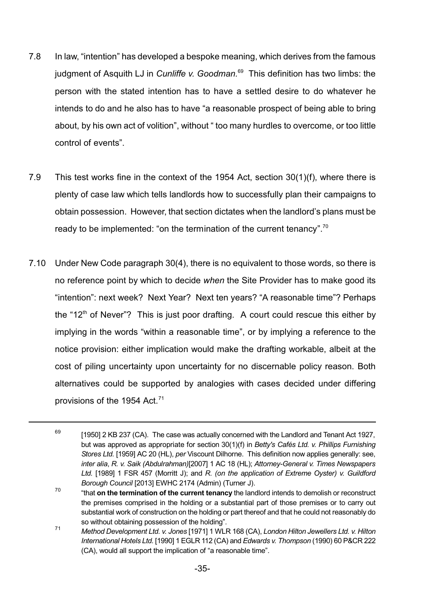- 7.8 In law, "intention" has developed a bespoke meaning, which derives from the famous judgment of Asquith LJ in *Cunliffe v. Goodman.*<sup>69</sup> This definition has two limbs: the person with the stated intention has to have a settled desire to do whatever he intends to do and he also has to have "a reasonable prospect of being able to bring about, by his own act of volition", without " too many hurdles to overcome, or too little control of events".
- 7.9 This test works fine in the context of the 1954 Act, section 30(1)(f), where there is plenty of case law which tells landlords how to successfully plan their campaigns to obtain possession. However, that section dictates when the landlord's plans must be ready to be implemented: "on the termination of the current tenancy".<sup>70</sup>
- 7.10 Under New Code paragraph 30(4), there is no equivalent to those words, so there is no reference point by which to decide *when* the Site Provider has to make good its "intention": next week? Next Year? Next ten years? "A reasonable time"? Perhaps the "12<sup>th</sup> of Never"? This is just poor drafting. A court could rescue this either by implying in the words "within a reasonable time", or by implying a reference to the notice provision: either implication would make the drafting workable, albeit at the cost of piling uncertainty upon uncertainty for no discernable policy reason. Both alternatives could be supported by analogies with cases decided under differing provisions of the 1954 Act.<sup>71</sup>

<sup>69</sup> [1950] 2 KB 237 (CA). The case was actually concerned with the Landlord and Tenant Act 1927, but was approved as appropriate for section 30(1)(f) in *Betty's Cafés Ltd. v. Phillips Furnishing Stores Ltd.* [1959] AC 20 (HL), *per* Viscount Dilhorne. This definition now applies generally: see, *inter alia*, *R. v. Saik (Abdulrahman)*[2007] 1 AC 18 (HL); *Attorney-General v. Times Newspapers Ltd.* [1989] 1 FSR 457 (Morritt J); and *R. (on the application of Extreme Oyster) v. Guildford Borough Council* [2013] EWHC 2174 (Admin) (Turner J).

<sup>70</sup> "that **on the termination of the current tenancy** the landlord intends to demolish or reconstruct the premises comprised in the holding or a substantial part of those premises or to carry out substantial work of construction on the holding or part thereof and that he could not reasonably do so without obtaining possession of the holding".

<sup>71</sup> *Method Development Ltd. v. Jones* [1971] 1 WLR 168 (CA), *London Hilton Jewellers Ltd. v. Hilton International Hotels Ltd.* [1990] 1 EGLR 112 (CA) and *Edwards v. Thompson* (1990) 60 P&CR 222 (CA), would all support the implication of "a reasonable time".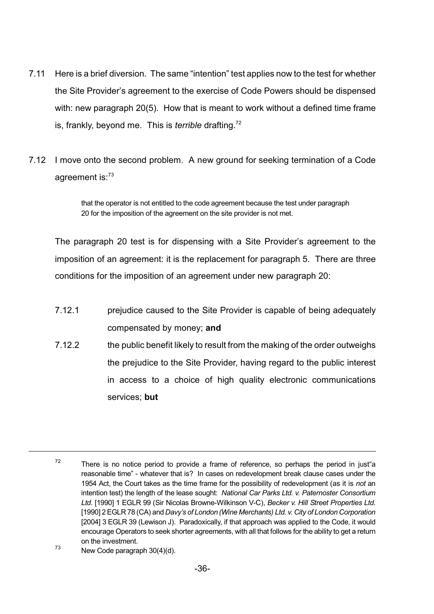- 7.11 Here is a brief diversion. The same "intention" test applies now to the test for whether the Site Provider's agreement to the exercise of Code Powers should be dispensed with: new paragraph 20(5). How that is meant to work without a defined time frame is, frankly, beyond me. This is *terrible* drafting. 72
- 7.12 I move onto the second problem. A new ground for seeking termination of a Code agreement is:<sup>73</sup>

that the operator is not entitled to the code agreement because the test under paragraph 20 for the imposition of the agreement on the site provider is not met.

The paragraph 20 test is for dispensing with a Site Provider's agreement to the imposition of an agreement: it is the replacement for paragraph 5. There are three conditions for the imposition of an agreement under new paragraph 20:

- 7.12.1 prejudice caused to the Site Provider is capable of being adequately compensated by money; **and**
- 7.12.2 the public benefit likely to result from the making of the order outweighs the prejudice to the Site Provider, having regard to the public interest in access to a choice of high quality electronic communications services; **but**

 $^{73}$  New Code paragraph 30(4)(d).

<sup>72</sup> There is no notice period to provide a frame of reference, so perhaps the period in just"a reasonable time" - whatever that is? In cases on redevelopment break clause cases under the 1954 Act, the Court takes as the time frame for the possibility of redevelopment (as it is *not* an intention test) the length of the lease sought: *National Car Parks Ltd. v. Paternoster Consortium Ltd*. [1990] 1 EGLR 99 (Sir Nicolas Browne-Wilkinson V-C), *Becker v. Hill Street Properties Ltd.* [1990] 2EGLR 78 (CA) and *Davy's of London (Wine Merchants) Ltd. v. City of London Corporation* [2004] 3 EGLR 39 (Lewison J). Paradoxically, if that approach was applied to the Code, it would encourage Operators to seek shorter agreements, with all that follows for the ability to get a return on the investment.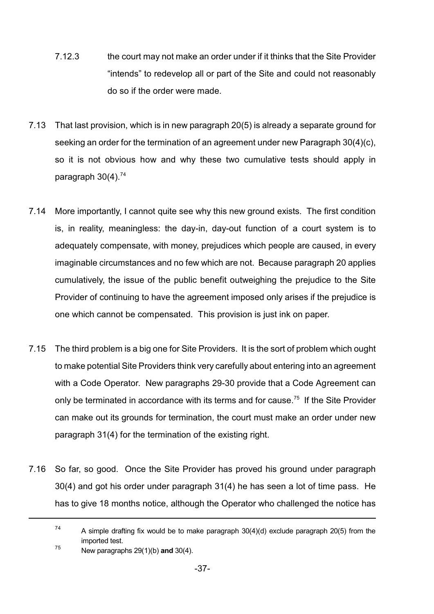- 7.12.3 the court may not make an order under if it thinks that the Site Provider "intends" to redevelop all or part of the Site and could not reasonably do so if the order were made.
- 7.13 That last provision, which is in new paragraph 20(5) is already a separate ground for seeking an order for the termination of an agreement under new Paragraph 30(4)(c), so it is not obvious how and why these two cumulative tests should apply in paragraph  $30(4)$ .<sup>74</sup>
- 7.14 More importantly, I cannot quite see why this new ground exists. The first condition is, in reality, meaningless: the day-in, day-out function of a court system is to adequately compensate, with money, prejudices which people are caused, in every imaginable circumstances and no few which are not. Because paragraph 20 applies cumulatively, the issue of the public benefit outweighing the prejudice to the Site Provider of continuing to have the agreement imposed only arises if the prejudice is one which cannot be compensated. This provision is just ink on paper.
- 7.15 The third problem is a big one for Site Providers. It is the sort of problem which ought to make potential Site Providers think very carefully about entering into an agreement with a Code Operator. New paragraphs 29-30 provide that a Code Agreement can only be terminated in accordance with its terms and for cause.<sup>75</sup> If the Site Provider can make out its grounds for termination, the court must make an order under new paragraph 31(4) for the termination of the existing right.
- 7.16 So far, so good. Once the Site Provider has proved his ground under paragraph 30(4) and got his order under paragraph 31(4) he has seen a lot of time pass. He has to give 18 months notice, although the Operator who challenged the notice has
	- 74 A simple drafting fix would be to make paragraph 30(4)(d) exclude paragraph 20(5) from the imported test.
	- <sup>75</sup> New paragraphs 29(1)(b) **and** 30(4).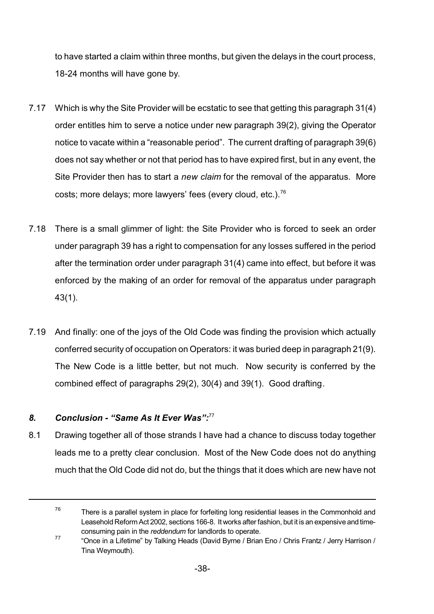to have started a claim within three months, but given the delays in the court process, 18-24 months will have gone by.

- 7.17 Which is why the Site Provider will be ecstatic to see that getting this paragraph 31(4) order entitles him to serve a notice under new paragraph 39(2), giving the Operator notice to vacate within a "reasonable period". The current drafting of paragraph 39(6) does not say whether or not that period has to have expired first, but in any event, the Site Provider then has to start a *new claim* for the removal of the apparatus. More costs; more delays; more lawyers' fees (every cloud, etc.).<sup>76</sup>
- 7.18 There is a small glimmer of light: the Site Provider who is forced to seek an order under paragraph 39 has a right to compensation for any losses suffered in the period after the termination order under paragraph 31(4) came into effect, but before it was enforced by the making of an order for removal of the apparatus under paragraph 43(1).
- 7.19 And finally: one of the joys of the Old Code was finding the provision which actually conferred security of occupation on Operators: it was buried deep in paragraph 21(9). The New Code is a little better, but not much. Now security is conferred by the combined effect of paragraphs 29(2), 30(4) and 39(1). Good drafting.

# *8. Conclusion - "Same As It Ever Was":*<sup>77</sup>

8.1 Drawing together all of those strands I have had a chance to discuss today together leads me to a pretty clear conclusion. Most of the New Code does not do anything much that the Old Code did not do, but the things that it does which are new have not

<sup>76</sup> There is a parallel system in place for forfeiting long residential leases in the Commonhold and Leasehold Reform Act 2002, sections 166-8. It works after fashion, but it is an expensive and timeconsuming pain in the *reddendum* for landlords to operate.

<sup>77</sup> "Once in a Lifetime" by Talking Heads (David Byrne / Brian Eno / Chris Frantz / Jerry Harrison / Tina Weymouth).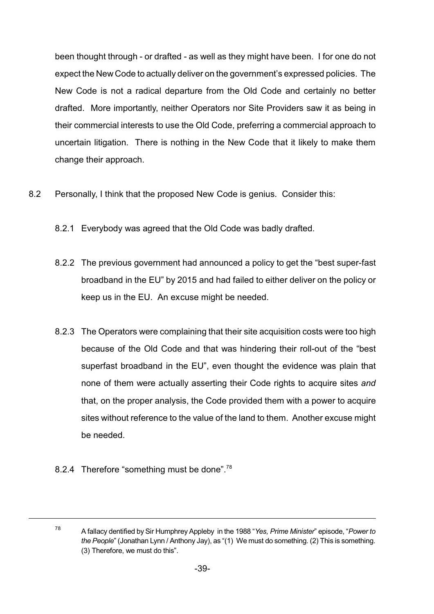been thought through - or drafted - as well as they might have been. I for one do not expect the New Code to actually deliver on the government's expressed policies. The New Code is not a radical departure from the Old Code and certainly no better drafted. More importantly, neither Operators nor Site Providers saw it as being in their commercial interests to use the Old Code, preferring a commercial approach to uncertain litigation. There is nothing in the New Code that it likely to make them change their approach.

- 8.2 Personally, I think that the proposed New Code is genius. Consider this:
	- 8.2.1 Everybody was agreed that the Old Code was badly drafted.
	- 8.2.2 The previous government had announced a policy to get the "best super-fast broadband in the EU" by 2015 and had failed to either deliver on the policy or keep us in the EU. An excuse might be needed.
	- 8.2.3 The Operators were complaining that their site acquisition costs were too high because of the Old Code and that was hindering their roll-out of the "best superfast broadband in the EU", even thought the evidence was plain that none of them were actually asserting their Code rights to acquire sites *and* that, on the proper analysis, the Code provided them with a power to acquire sites without reference to the value of the land to them. Another excuse might be needed.
	- 8.2.4 Therefore "something must be done".<sup>78</sup>

<sup>78</sup>

A fallacy dentified by Sir Humphrey Appleby in the 1988 "*Yes, Prime Minister*" episode, "*Power to the People*" (Jonathan Lynn / Anthony Jay), as "(1) We must do something. (2) This is something. (3) Therefore, we must do this".